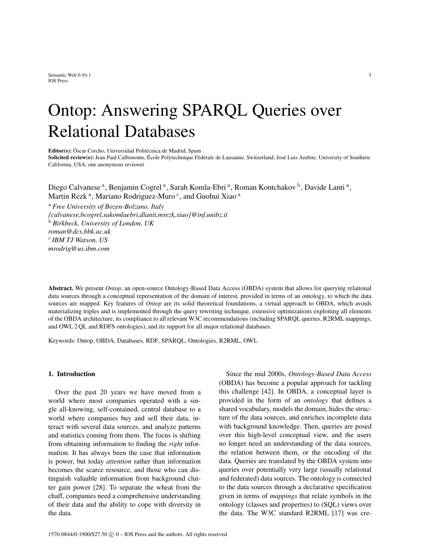Semantic Web  $0(0)$  1 1 IOS Press

# Ontop: Answering SPARQL Queries over Relational Databases

Editor(s): Óscar Corcho, Universidad Politécnica de Madrid, Spain

Solicited review(s): Jean Paul Calbimonte, École Polytechnique Fédérale de Lausanne, Switzerland; José Luis Ambite, University of Southern California, USA; one anonymous reviewer

Diego Calvanese<sup>a</sup>, Benjamin Cogrel<sup>a</sup>, Sarah Komla-Ebri<sup>a</sup>, Roman Kontchakov<sup>b</sup>, Davide Lanti<sup>a</sup>, Martin Rezk<sup>a</sup>, Mariano Rodriguez-Muro<sup>c</sup>, and Guohui Xiao<sup>a</sup>

<sup>a</sup> *Free University of Bozen-Bolzano, Italy {calvanese,bcogrel,sakomlaebri,dlanti,mrezk,xiao}@inf.unibz.it* <sup>b</sup> *Birkbeck, University of London, UK roman@dcs.bbk.ac.uk* c *IBM TJ Watson, US mrodrig@us.ibm.com*

Abstract. We present *Ontop*, an open-source Ontology-Based Data Access (OBDA) system that allows for querying relational data sources through a conceptual representation of the domain of interest, provided in terms of an ontology, to which the data sources are mapped. Key features of *Ontop* are its solid theoretical foundations, a virtual approach to OBDA, which avoids materializing triples and is implemented through the query rewriting technique, extensive optimizations exploiting all elements of the OBDA architecture, its compliance to all relevant W3C recommendations (including SPARQL queries, R2RML mappings, and OWL 2 QL and RDFS ontologies), and its support for all major relational databases.

Keywords: Ontop, OBDA, Databases, RDF, SPARQL, Ontologies, R2RML, OWL

# 1. Introduction

Over the past 20 years we have moved from a world where most companies operated with a single all-knowing, self-contained, central database to a world where companies buy and sell their data, interact with several data sources, and analyze patterns and statistics coming from them. The focus is shifting from obtaining information to finding the *right* information. It has always been the case that information is power, but today *attention* rather than information becomes the scarce resource, and those who can distinguish valuable information from background clutter gain power [28]. To separate the wheat from the chaff, companies need a comprehensive understanding of their data and the ability to cope with diversity in the data.

Since the mid 2000s, *Ontology-Based Data Access* (OBDA) has become a popular approach for tackling this challenge [42]. In OBDA, a conceptual layer is provided in the form of an *ontology* that defines a shared vocabulary, models the domain, hides the structure of the data sources, and enriches incomplete data with background knowledge. Then, queries are posed over this high-level conceptual view, and the users no longer need an understanding of the data sources, the relation between them, or the encoding of the data. Queries are translated by the OBDA system into queries over potentially very large (usually relational and federated) data sources. The ontology is connected to the data sources through a declarative specification given in terms of *mappings* that relate symbols in the ontology (classes and properties) to (SQL) views over the data. The W3C standard R2RML [17] was cre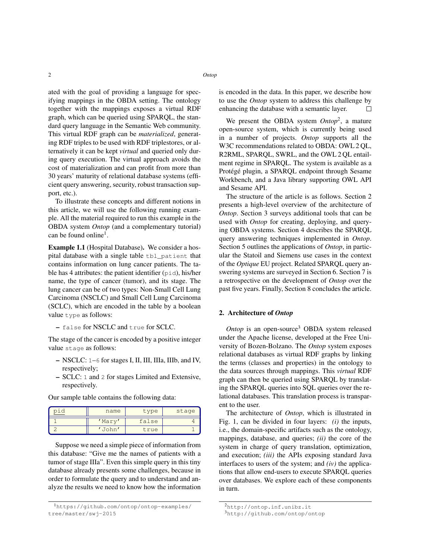ated with the goal of providing a language for specifying mappings in the OBDA setting. The ontology together with the mappings exposes a virtual RDF graph, which can be queried using SPARQL, the standard query language in the Semantic Web community. This virtual RDF graph can be *materialized*, generating RDF triples to be used with RDF triplestores, or alternatively it can be kept *virtual* and queried only during query execution. The virtual approach avoids the cost of materialization and can profit from more than 30 years' maturity of relational database systems (efficient query answering, security, robust transaction support, etc.).

To illustrate these concepts and different notions in this article, we will use the following running example. All the material required to run this example in the OBDA system *Ontop* (and a complementary tutorial) can be found online<sup>1</sup>.

Example 1.1 (Hospital Database). We consider a hospital database with a single table tbl\_patient that contains information on lung cancer patients. The table has 4 attributes: the patient identifier  $(pid)$ , his/her name, the type of cancer (tumor), and its stage. The lung cancer can be of two types: Non-Small Cell Lung Carcinoma (NSCLC) and Small Cell Lung Carcinoma (SCLC), which are encoded in the table by a boolean value type as follows:

– false for NSCLC and true for SCLC.

The stage of the cancer is encoded by a positive integer value stage as follows:

- NSCLC: 1–6 for stages I, II, III, IIIa, IIIb, and IV, respectively;
- SCLC: 1 and 2 for stages Limited and Extensive, respectively.

| name      | type  | stage |
|-----------|-------|-------|
| 'Mary     | false |       |
| $J_0$ hn' | true  |       |

Our sample table contains the following data:

Suppose we need a simple piece of information from this database: "Give me the names of patients with a tumor of stage IIIa". Even this simple query in this tiny database already presents some challenges, because in order to formulate the query and to understand and analyze the results we need to know how the information is encoded in the data. In this paper, we describe how to use the *Ontop* system to address this challenge by enhancing the database with a semantic layer.  $\Box$ 

We present the OBDA system *Ontop*<sup>2</sup> , a mature open-source system, which is currently being used in a number of projects. *Ontop* supports all the W3C recommendations related to OBDA: OWL 2 QL, R2RML, SPARQL, SWRL, and the OWL 2 QL entailment regime in SPARQL. The system is available as a Protégé plugin, a SPARQL endpoint through Sesame Workbench, and a Java library supporting OWL API and Sesame API.

The structure of the article is as follows. Section 2 presents a high-level overview of the architecture of *Ontop*. Section 3 surveys additional tools that can be used with *Ontop* for creating, deploying, and querying OBDA systems. Section 4 describes the SPARQL query answering techniques implemented in *Ontop*. Section 5 outlines the applications of *Ontop*, in particular the Statoil and Siemens use cases in the context of the *Optique* EU project. Related SPARQL query answering systems are surveyed in Section 6. Section 7 is a retrospective on the development of *Ontop* over the past five years. Finally, Section 8 concludes the article.

# 2. Architecture of *Ontop*

*Ontop* is an open-source<sup>3</sup> OBDA system released under the Apache license, developed at the Free University of Bozen-Bolzano. The *Ontop* system exposes relational databases as virtual RDF graphs by linking the terms (classes and properties) in the ontology to the data sources through mappings. This *virtual* RDF graph can then be queried using SPARQL by translating the SPARQL queries into SQL queries over the relational databases. This translation process is transparent to the user.

The architecture of *Ontop*, which is illustrated in Fig. 1, can be divided in four layers: *(i)* the inputs, i.e., the domain-specific artifacts such as the ontology, mappings, database, and queries; *(ii)* the core of the system in charge of query translation, optimization, and execution; *(iii)* the APIs exposing standard Java interfaces to users of the system; and *(iv)* the applications that allow end-users to execute SPARQL queries over databases. We explore each of these components in turn.

<sup>1</sup>https://github.com/ontop/ontop-examples/ tree/master/swj-2015

<sup>2</sup>http://ontop.inf.unibz.it

<sup>3</sup>http://github.com/ontop/ontop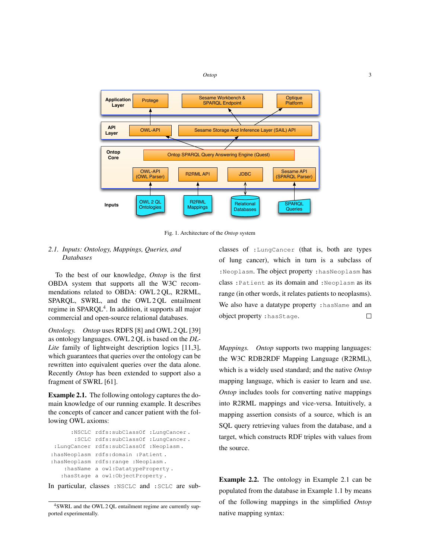

Fig. 1. Architecture of the *Ontop* system

# *2.1. Inputs: Ontology, Mappings, Queries, and Databases*

To the best of our knowledge, *Ontop* is the first OBDA system that supports all the W3C recommendations related to OBDA: OWL 2 QL, R2RML, SPAROL, SWRL, and the OWL 2 OL entailment regime in SPARQL<sup>4</sup>. In addition, it supports all major commercial and open-source relational databases.

*Ontology. Ontop* uses RDFS [8] and OWL 2 QL [39] as ontology languages. OWL 2 QL is based on the *DL-Lite* family of lightweight description logics [11,3], which guarantees that queries over the ontology can be rewritten into equivalent queries over the data alone. Recently *Ontop* has been extended to support also a fragment of SWRL [61].

Example 2.1. The following ontology captures the domain knowledge of our running example. It describes the concepts of cancer and cancer patient with the following OWL axioms:

```
:NSCLC rdfs:subClassOf :LungCancer .
       :SCLC rdfs:subClassOf :LungCancer .
 :LungCancer rdfs:subClassOf :Neoplasm .
:hasNeoplasm rdfs:domain :Patient .
:hasNeoplasm rdfs:range :Neoplasm .
    :hasName a owl:DatatypeProperty .
   :hasStage a owl:ObjectProperty .
```
In particular, classes :NSCLC and :SCLC are sub-

classes of :LungCancer (that is, both are types of lung cancer), which in turn is a subclass of :Neoplasm. The object property :hasNeoplasm has class :Patient as its domain and :Neoplasm as its range (in other words, it relates patients to neoplasms). We also have a datatype property : hasName and an object property :hasStage.  $\Box$ 

*Mappings. Ontop* supports two mapping languages: the W3C RDB2RDF Mapping Language (R2RML), which is a widely used standard; and the native *Ontop* mapping language, which is easier to learn and use. *Ontop* includes tools for converting native mappings into R2RML mappings and vice-versa. Intuitively, a mapping assertion consists of a source, which is an SQL query retrieving values from the database, and a target, which constructs RDF triples with values from the source.

Example 2.2. The ontology in Example 2.1 can be populated from the database in Example 1.1 by means of the following mappings in the simplified *Ontop* native mapping syntax:

<sup>4</sup>SWRL and the OWL 2 QL entailment regime are currently supported experimentally.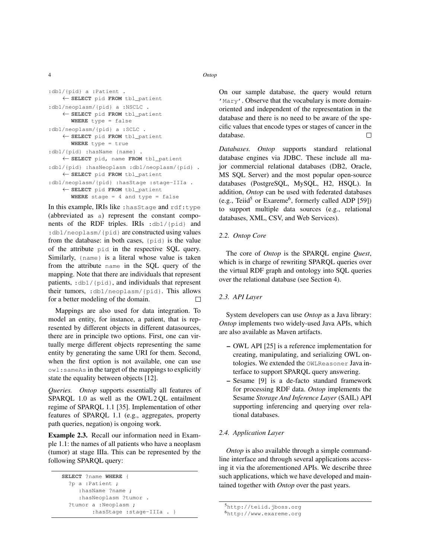4 *Ontop*

```
:db1/{pid} a :Patient .
   ← SELECT pid FROM tbl_patient
:db1/neoplasm/{pid} a :NSCLC .
   ← SELECT pid FROM tbl_patient
      WHERE type = false
:db1/neoplasm/{pid} a :SCLC .
   ← SELECT pid FROM tbl_patient
      WHERE type = true
:db1/{pid} :hasName {name} .
   ← SELECT pid, name FROM tbl_patient
:db1/{pid} :hasNeoplasm :db1/neoplasm/{pid} .
   ← SELECT pid FROM tbl_patient
:db1/neoplasm/{pid} :hasStage :stage-IIIa .
   ← SELECT pid FROM tbl_patient
```
**WHERE** stage = 4 and type = false

In this example, IRIs like :hasStage and rdf:type (abbreviated as a) represent the constant components of the RDF triples. IRIs :db1/{pid} and : db1/neoplasm/{pid} are constructed using values from the database: in both cases, {pid} is the value of the attribute pid in the respective SQL query. Similarly, {name} is a literal whose value is taken from the attribute name in the SQL query of the mapping. Note that there are individuals that represent patients, :db1/{pid}, and individuals that represent their tumors, :db1/neoplasm/{pid}. This allows for a better modeling of the domain.  $\Box$ 

Mappings are also used for data integration. To model an entity, for instance, a patient, that is represented by different objects in different datasources, there are in principle two options. First, one can virtually merge different objects representing the same entity by generating the same URI for them. Second, when the first option is not available, one can use owl:sameAs in the target of the mappings to explicitly state the equality between objects [12].

*Queries. Ontop* supports essentially all features of SPARQL 1.0 as well as the OWL 2 QL entailment regime of SPARQL 1.1 [35]. Implementation of other features of SPARQL 1.1 (e.g., aggregates, property path queries, negation) is ongoing work.

Example 2.3. Recall our information need in Example 1.1: the names of all patients who have a neoplasm (tumor) at stage IIIa. This can be represented by the following SPARQL query:

```
SELECT ?name WHERE {
 ?p a :Patient ;
     :hasName ?name ;
     :hasNeoplasm ?tumor .
 ?tumor a :Neoplasm ;
         :hasStage :stage-IIIa . }
```
On our sample database, the query would return 'Mary'. Observe that the vocabulary is more domainoriented and independent of the representation in the database and there is no need to be aware of the specific values that encode types or stages of cancer in the database. П

*Databases. Ontop* supports standard relational database engines via JDBC. These include all major commercial relational databases (DB2, Oracle, MS SQL Server) and the most popular open-source databases (PostgreSQL, MySQL, H2, HSQL). In addition, *Ontop* can be used with federated databases (e.g., Teiid<sup>5</sup> or Exareme<sup>6</sup>, formerly called ADP [59]) to support multiple data sources (e.g., relational databases, XML, CSV, and Web Services).

# *2.2. Ontop Core*

The core of *Ontop* is the SPARQL engine *Quest*, which is in charge of rewriting SPARQL queries over the virtual RDF graph and ontology into SQL queries over the relational database (see Section 4).

# *2.3. API Layer*

System developers can use *Ontop* as a Java library: *Ontop* implements two widely-used Java APIs, which are also available as Maven artifacts.

- OWL API [25] is a reference implementation for creating, manipulating, and serializing OWL ontologies. We extended the OWLReasoner Java interface to support SPARQL query answering.
- Sesame [9] is a de-facto standard framework for processing RDF data. *Ontop* implements the Sesame *Storage And Inference Layer* (SAIL) API supporting inferencing and querying over relational databases.

# *2.4. Application Layer*

*Ontop* is also available through a simple commandline interface and through several applications accessing it via the aforementioned APIs. We describe three such applications, which we have developed and maintained together with *Ontop* over the past years.

<sup>5</sup>http://teiid.jboss.org

<sup>6</sup>http://www.exareme.org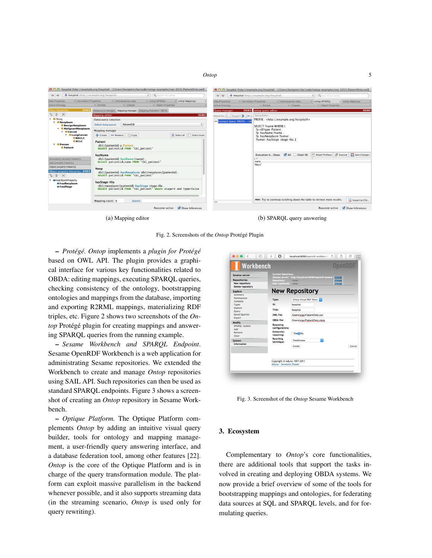

(a) Mapping editor (b) SPARQL query answering

Fig. 2. Screenshots of the *Ontop* Protégé Plugin

– *Protégé. Ontop* implements a *plugin for Protégé* based on OWL API. The plugin provides a graphical interface for various key functionalities related to OBDA: editing mappings, executing SPARQL queries, checking consistency of the ontology, bootstrapping ontologies and mappings from the database, importing and exporting R2RML mappings, materializing RDF triples, etc. Figure 2 shows two screenshots of the *Ontop* Protégé plugin for creating mappings and answering SPARQL queries from the running example.

– *Sesame Workbench and SPARQL Endpoint*. Sesame OpenRDF Workbench is a web application for administrating Sesame repositories. We extended the Workbench to create and manage *Ontop* repositories using SAIL API. Such repositories can then be used as standard SPARQL endpoints. Figure 3 shows a screenshot of creating an *Ontop* repository in Sesame Workbench.

– *Optique Platform.* The Optique Platform complements *Ontop* by adding an intuitive visual query builder, tools for ontology and mapping management, a user-friendly query answering interface, and a database federation tool, among other features [22]. *Ontop* is the core of the Optique Platform and is in charge of the query transformation module. The platform can exploit massive parallelism in the backend whenever possible, and it also supports streaming data (in the streaming scenario, *Ontop* is used only for query rewriting).



Fig. 3. Screenshot of the *Ontop* Sesame Workbench

# 3. Ecosystem

Complementary to *Ontop*'s core functionalities, there are additional tools that support the tasks involved in creating and deploying OBDA systems. We now provide a brief overview of some of the tools for bootstrapping mappings and ontologies, for federating data sources at SQL and SPARQL levels, and for formulating queries.

*Ontop* 5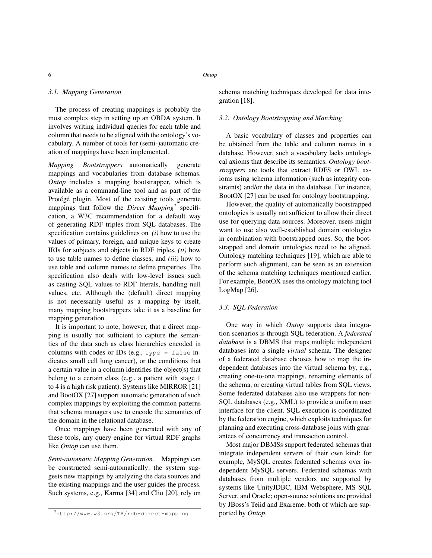## *3.1. Mapping Generation*

The process of creating mappings is probably the most complex step in setting up an OBDA system. It involves writing individual queries for each table and column that needs to be aligned with the ontology's vocabulary. A number of tools for (semi-)automatic creation of mappings have been implemented.

*Mapping Bootstrappers* automatically generate mappings and vocabularies from database schemas. *Ontop* includes a mapping bootstrapper, which is available as a command-line tool and as part of the Protégé plugin. Most of the existing tools generate mappings that follow the *Direct Mapping*<sup>7</sup> specification, a W3C recommendation for a default way of generating RDF triples from SQL databases. The specification contains guidelines on *(i)* how to use the values of primary, foreign, and unique keys to create IRIs for subjects and objects in RDF triples, *(ii)* how to use table names to define classes, and *(iii)* how to use table and column names to define properties. The specification also deals with low-level issues such as casting SQL values to RDF literals, handling null values, etc. Although the (default) direct mapping is not necessarily useful as a mapping by itself, many mapping bootstrappers take it as a baseline for mapping generation.

It is important to note, however, that a direct mapping is usually not sufficient to capture the semantics of the data such as class hierarchies encoded in columns with codes or IDs (e.g.,  $type = false$  indicates small cell lung cancer), or the conditions that a certain value in a column identifies the object(s) that belong to a certain class (e.g., a patient with stage 1 to 4 is a high risk patient). Systems like MIRROR [21] and BootOX [27] support automatic generation of such complex mappings by exploiting the common patterns that schema managers use to encode the semantics of the domain in the relational database.

Once mappings have been generated with any of these tools, any query engine for virtual RDF graphs like *Ontop* can use them.

*Semi-automatic Mapping Generation.* Mappings can be constructed semi-automatically: the system suggests new mappings by analyzing the data sources and the existing mappings and the user guides the process. Such systems, e.g., Karma [34] and Clio [20], rely on schema matching techniques developed for data integration [18].

### *3.2. Ontology Bootstrapping and Matching*

A basic vocabulary of classes and properties can be obtained from the table and column names in a database. However, such a vocabulary lacks ontological axioms that describe its semantics. *Ontology bootstrappers* are tools that extract RDFS or OWL axioms using schema information (such as integrity constraints) and/or the data in the database. For instance, BootOX [27] can be used for ontology bootstrapping.

However, the quality of automatically bootstrapped ontologies is usually not sufficient to allow their direct use for querying data sources. Moreover, users might want to use also well-established domain ontologies in combination with bootstrapped ones. So, the bootstrapped and domain ontologies need to be aligned. Ontology matching techniques [19], which are able to perform such alignment, can be seen as an extension of the schema matching techniques mentioned earlier. For example, BootOX uses the ontology matching tool LogMap [26].

# *3.3. SQL Federation*

One way in which *Ontop* supports data integration scenarios is through SQL federation. A *federated database* is a DBMS that maps multiple independent databases into a single *virtual* schema. The designer of a federated database chooses how to map the independent databases into the virtual schema by, e.g., creating one-to-one mappings, renaming elements of the schema, or creating virtual tables from SQL views. Some federated databases also use wrappers for non-SQL databases (e.g., XML) to provide a uniform user interface for the client. SQL execution is coordinated by the federation engine, which exploits techniques for planning and executing cross-database joins with guarantees of concurrency and transaction control.

Most major DBMSs support federated schemas that integrate independent servers of their own kind: for example, MySQL creates federated schemas over independent MySQL servers. Federated schemas with databases from multiple vendors are supported by systems like UnityJDBC, IBM Websphere, MS SQL Server, and Oracle; open-source solutions are provided by JBoss's Teiid and Exareme, both of which are supported by *Ontop*.

<sup>7</sup>http://www.w3.org/TR/rdb-direct-mapping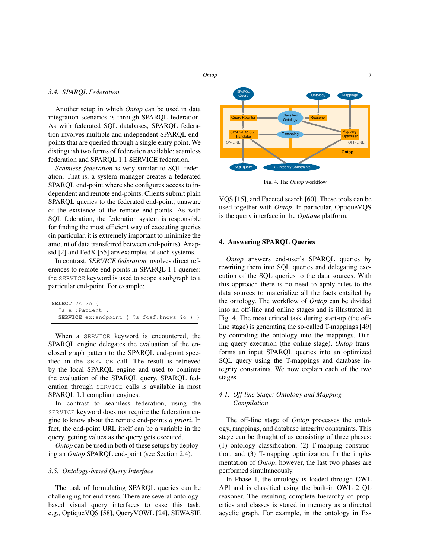#### *Ontop* 7

## *3.4. SPARQL Federation*

Another setup in which *Ontop* can be used in data integration scenarios is through SPARQL federation. As with federated SQL databases, SPARQL federation involves multiple and independent SPARQL endpoints that are queried through a single entry point. We distinguish two forms of federation available: seamless federation and SPARQL 1.1 SERVICE federation.

*Seamless federation* is very similar to SQL federation. That is, a system manager creates a federated SPARQL end-point where she configures access to independent and remote end-points. Clients submit plain SPARQL queries to the federated end-point, unaware of the existence of the remote end-points. As with SQL federation, the federation system is responsible for finding the most efficient way of executing queries (in particular, it is extremely important to minimize the amount of data transferred between end-points). Anapsid [2] and FedX [55] are examples of such systems.

In contrast, *SERVICE federation* involves direct references to remote end-points in SPARQL 1.1 queries: the SERVICE keyword is used to scope a subgraph to a particular end-point. For example:

| SELECT ?s ?o {                                     |  |  |  |
|----------------------------------------------------|--|--|--|
| ?s a :Patient .                                    |  |  |  |
| <b>SERVICE</b> ex:endpoint { ?s foaf: knows ?o } } |  |  |  |

When a SERVICE keyword is encountered, the SPARQL engine delegates the evaluation of the enclosed graph pattern to the SPARQL end-point specified in the SERVICE call. The result is retrieved by the local SPARQL engine and used to continue the evaluation of the SPARQL query. SPARQL federation through SERVICE calls is available in most SPARQL 1.1 compliant engines.

In contrast to seamless federation, using the SERVICE keyword does not require the federation engine to know about the remote end-points *a priori*. In fact, the end-point URL itself can be a variable in the query, getting values as the query gets executed.

*Ontop* can be used in both of these setups by deploying an *Ontop* SPARQL end-point (see Section 2.4).

# *3.5. Ontology-based Query Interface*

The task of formulating SPARQL queries can be challenging for end-users. There are several ontologybased visual query interfaces to ease this task, e.g., OptiqueVQS [58], QueryVOWL [24], SEWASIE



Fig. 4. The *Ontop* workflow

VQS [15], and Faceted search [60]. These tools can be used together with *Ontop*. In particular, OptiqueVQS is the query interface in the *Optique* platform.

# 4. Answering SPARQL Queries

*Ontop* answers end-user's SPARQL queries by rewriting them into SQL queries and delegating execution of the SQL queries to the data sources. With this approach there is no need to apply rules to the data sources to materialize all the facts entailed by the ontology. The workflow of *Ontop* can be divided into an off-line and online stages and is illustrated in Fig. 4. The most critical task during start-up (the offline stage) is generating the so-called T-mappings [49] by compiling the ontology into the mappings. During query execution (the online stage), *Ontop* transforms an input SPARQL queries into an optimized SQL query using the T-mappings and database integrity constraints. We now explain each of the two stages.

# *4.1. Off-line Stage: Ontology and Mapping Compilation*

The off-line stage of *Ontop* processes the ontology, mappings, and database integrity constraints. This stage can be thought of as consisting of three phases: (1) ontology classification, (2) T-mapping construction, and (3) T-mapping optimization. In the implementation of *Ontop*, however, the last two phases are performed simultaneously.

In Phase 1, the ontology is loaded through OWL API and is classified using the built-in OWL 2 QL reasoner. The resulting complete hierarchy of properties and classes is stored in memory as a directed acyclic graph. For example, in the ontology in Ex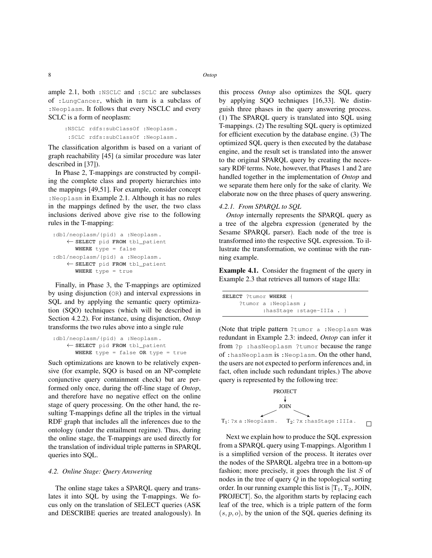ample 2.1, both :NSCLC and :SCLC are subclasses of :LungCancer, which in turn is a subclass of :Neoplasm. It follows that every NSCLC and every SCLC is a form of neoplasm:

```
:NSCLC rdfs:subClassOf :Neoplasm .
:SCLC rdfs:subClassOf :Neoplasm .
```
The classification algorithm is based on a variant of graph reachability [45] (a similar procedure was later described in [37]).

In Phase 2, T-mappings are constructed by compiling the complete class and property hierarchies into the mappings [49,51]. For example, consider concept :Neoplasm in Example 2.1. Although it has no rules in the mappings defined by the user, the two class inclusions derived above give rise to the following rules in the T-mapping:

```
:db1/neoplasm/{pid} a :Neoplasm.
    ← SELECT pid FROM tbl_patient
      WHERE type = false
:db1/neoplasm/{pid} a :Neoplasm.
    ← SELECT pid FROM tbl_patient
      WHERE type = true
```
Finally, in Phase 3, the T-mappings are optimized by using disjunction (OR) and interval expressions in SQL and by applying the semantic query optimization (SQO) techniques (which will be described in Section 4.2.2). For instance, using disjunction, *Ontop* transforms the two rules above into a single rule

```
:db1/neoplasm/{pid} a :Neoplasm.
    ← SELECT pid FROM tbl_patient
      WHERE type = false OR type = true
```
Such optimizations are known to be relatively expensive (for example, SQO is based on an NP-complete conjunctive query containment check) but are performed only once, during the off-line stage of *Ontop*, and therefore have no negative effect on the online stage of query processing. On the other hand, the resulting T-mappings define all the triples in the virtual RDF graph that includes all the inferences due to the ontology (under the entailment regime). Thus, during the online stage, the T-mappings are used directly for the translation of individual triple patterns in SPARQL queries into SQL.

# *4.2. Online Stage: Query Answering*

The online stage takes a SPARQL query and translates it into SQL by using the T-mappings. We focus only on the translation of SELECT queries (ASK and DESCRIBE queries are treated analogously). In this process *Ontop* also optimizes the SQL query by applying SQO techniques [16,33]. We distinguish three phases in the query answering process. (1) The SPARQL query is translated into SQL using T-mappings. (2) The resulting SQL query is optimized for efficient execution by the database engine. (3) The optimized SQL query is then executed by the database engine, and the result set is translated into the answer to the original SPARQL query by creating the necessary RDF terms. Note, however, that Phases 1 and 2 are handled together in the implementation of *Ontop* and we separate them here only for the sake of clarity. We elaborate now on the three phases of query answering.

## *4.2.1. From SPARQL to SQL*

*Ontop* internally represents the SPARQL query as a tree of the algebra expression (generated by the Sesame SPARQL parser). Each node of the tree is transformed into the respective SQL expression. To illustrate the transformation, we continue with the running example.

Example 4.1. Consider the fragment of the query in Example 2.3 that retrieves all tumors of stage IIIa:

|  | SELECT ?tumor WHERE { |                                 |  |
|--|-----------------------|---------------------------------|--|
|  | ?tumor a :Neoplasm ;  |                                 |  |
|  |                       | : has Stage : stage-IIIa . $\}$ |  |

(Note that triple pattern ?tumor a :Neoplasm was redundant in Example 2.3: indeed, *Ontop* can infer it from ?p :hasNeoplasm ?tumor because the range of :hasNeoplasm is :Neoplasm. On the other hand, the users are not expected to perform inferences and, in fact, often include such redundant triples.) The above query is represented by the following tree:



Next we explain how to produce the SQL expression from a SPARQL query using T-mappings. Algorithm 1 is a simplified version of the process. It iterates over the nodes of the SPARQL algebra tree in a bottom-up fashion; more precisely, it goes through the list  $S$  of nodes in the tree of query  $Q$  in the topological sorting order. In our running example this list is  $[T_1, T_2, J OIN, T_1, T_2, J OIN, T_2, J OIN, T_1, T_2, J OIN, T_1, T_2, J OIN, T_1, T_2, J OIN, T_1, T_2, J OIN, T_1, T_2, J OIN, T_1, T_2, J OIN, T_1, T_2, J OIN, T_1, T_2, J OIN, T_1, T_2, J OIN, T_1, T_2, J OIN, T_1, T_2, J OIN, T_1, T_2, J OIN, T$ PROJECT]. So, the algorithm starts by replacing each leaf of the tree, which is a triple pattern of the form  $(s, p, o)$ , by the union of the SQL queries defining its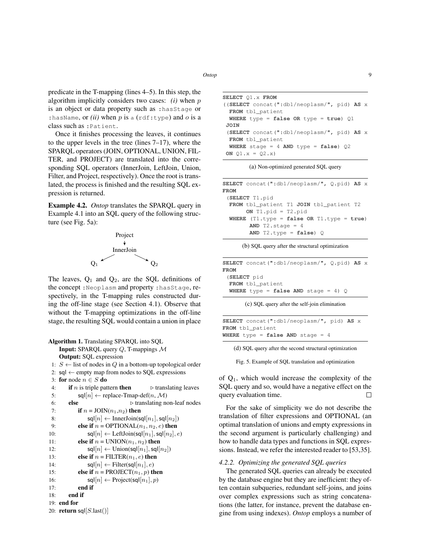predicate in the T-mapping (lines 4–5). In this step, the algorithm implicitly considers two cases: *(i)* when p is an object or data property such as :hasStage or : hasName, or  $(ii)$  when p is a (rdf:type) and o is a class such as :Patient.

Once it finishes processing the leaves, it continues to the upper levels in the tree (lines 7–17), where the SPARQL operators (JOIN, OPTIONAL, UNION, FIL-TER, and PROJECT) are translated into the corresponding SQL operators (InnerJoin, LeftJoin, Union, Filter, and Project, respectively). Once the root is translated, the process is finished and the resulting SQL expression is returned.

Example 4.2. *Ontop* translates the SPARQL query in Example 4.1 into an SQL query of the following structure (see Fig. 5a):



The leaves,  $Q_1$  and  $Q_2$ , are the SQL definitions of the concept :Neoplasm and property :hasStage, respectively, in the T-mapping rules constructed during the off-line stage (see Section 4.1). Observe that without the T-mapping optimizations in the off-line stage, the resulting SQL would contain a union in place

|     | <b>Algorithm 1.</b> Translating SPARQL into SQL                                         |
|-----|-----------------------------------------------------------------------------------------|
|     | <b>Input:</b> SPARQL query $Q$ , T-mappings $M$                                         |
|     | <b>Output:</b> SQL expression                                                           |
|     | 1: <i>S</i> ← list of nodes in <i>Q</i> in a bottom-up topological order                |
|     | 2: $\mathsf{sq} \leftarrow \mathsf{empty}$ map from nodes to SQL expressions            |
|     | 3: for node $n \in S$ do                                                                |
| 4:  | <b>if</b> <i>n</i> is triple pattern <b>then</b><br>$\triangleright$ translating leaves |
| 5:  | $\mathsf{sql}[n] \leftarrow \text{replace-Tmap-def}(n, \mathcal{M})$                    |
| 6:  | else<br>$\triangleright$ translating non-leaf nodes                                     |
| 7:  | if $n =$ JOIN $(n_1, n_2)$ then                                                         |
| 8:  | $\mathsf{sql}[n] \leftarrow \text{InnerJoin}(\mathsf{sql}[n_1], \mathsf{sql}[n_2])$     |
| 9:  | else if $n = \text{OPTIONAL}(n_1, n_2, e)$ then                                         |
| 10: | $\mathsf{sql}[n] \leftarrow \mathsf{LeftJoin}(\mathsf{sql}[n_1], \mathsf{sql}[n_2], e)$ |
| 11: | else if $n =$ UNION( $n_1, n_2$ ) then                                                  |
| 12: | $\mathsf{sgl}[n] \leftarrow \text{Union}(\mathsf{sgl}[n_1], \mathsf{sgl}[n_2])$         |
| 13: | else if $n =$ FILTER( $n_1, e$ ) then                                                   |
| 14: | $\mathsf{sgl}[n] \leftarrow \text{Filter}(\mathsf{sgl}[n_1], e)$                        |
| 15: | else if $n = \text{PROJECT}(n_1, p)$ then                                               |
| 16: | $\mathsf{sgl}[n] \leftarrow \text{Project}(\mathsf{sgl}[n_1], p)$                       |
| 17: | end if                                                                                  |
| 18: | end if                                                                                  |
|     | $19:$ end for                                                                           |
|     | 20: return sql $[S\text{.last}()]$                                                      |

```
SELECT Q1.x FROM
((SELECT concat(":db1/neoplasm/", pid) AS x
 FROM tbl_patient
 WHERE type = false OR type = true) Q1
JOIN
 (SELECT concat(":db1/neoplasm/", pid) AS x
 FROM tbl_patient
 WHERE stage = 4 AND type = false) Q2
ON Q1.x = Q2.x)
```
(a) Non-optimized generated SQL query

| SELECT concat(":db1/neoplasm/", O.pid) AS x   |
|-----------------------------------------------|
| FROM                                          |
| (SELECT T1.pid                                |
| FROM tbl patient T1 JOIN tbl patient T2       |
| ON T1.pid = T2.pid                            |
| WHERE $(T1. type = false OR T1. type = true)$ |
| AND $T2.\text{stage} = 4$                     |
| AND T2.type = $false$ ) O                     |
|                                               |

(b) SQL query after the structural optimization

|      |                  | <b>SELECT</b> concat(":db1/neoplasm/", O.pid) <b>AS</b> x |  |  |  |  |
|------|------------------|-----------------------------------------------------------|--|--|--|--|
| FROM |                  |                                                           |  |  |  |  |
|      | (SELECT pid      |                                                           |  |  |  |  |
|      | FROM tbl_patient |                                                           |  |  |  |  |
|      |                  | <b>WHERE</b> type = $false$ AND stage = 4) $\circ$        |  |  |  |  |

(c) SQL query after the self-join elimination

| <b>SELECT</b> concat(":db1/neoplasm/", pid) AS x |  |
|--------------------------------------------------|--|
| FROM tbl patient                                 |  |
| WHERE type = false AND stage = $4$               |  |

(d) SQL query after the second structural optimization

Fig. 5. Example of SQL translation and optimization

of  $Q_1$ , which would increase the complexity of the SQL query and so, would have a negative effect on the query evaluation time.  $\Box$ 

For the sake of simplicity we do not describe the translation of filter expressions and OPTIONAL (an optimal translation of unions and empty expressions in the second argument is particularly challenging) and how to handle data types and functions in SQL expressions. Instead, we refer the interested reader to [53,35].

### *4.2.2. Optimizing the generated SQL queries*

The generated SQL queries can already be executed by the database engine but they are inefficient: they often contain subqueries, redundant self-joins, and joins over complex expressions such as string concatenations (the latter, for instance, prevent the database engine from using indexes). *Ontop* employs a number of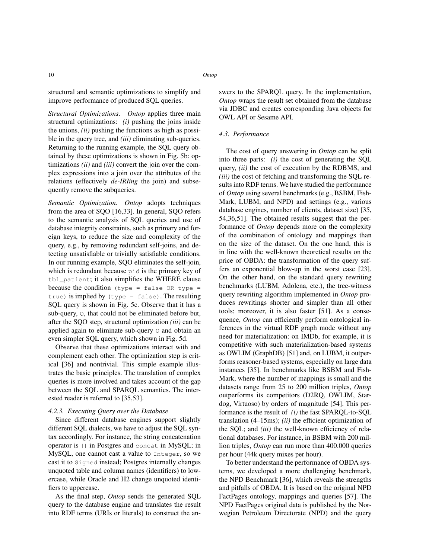structural and semantic optimizations to simplify and improve performance of produced SQL queries.

*Structural Optimizations. Ontop* applies three main structural optimizations: *(i)* pushing the joins inside the unions, *(ii)* pushing the functions as high as possible in the query tree, and *(iii)* eliminating sub-queries. Returning to the running example, the SQL query obtained by these optimizations is shown in Fig. 5b: optimizations *(ii)* and *(iii)* convert the join over the complex expressions into a join over the attributes of the relations (effectively *de-IRIing* the join) and subsequently remove the subqueries.

*Semantic Optimization. Ontop* adopts techniques from the area of SQO [16,33]. In general, SQO refers to the semantic analysis of SQL queries and use of database integrity constraints, such as primary and foreign keys, to reduce the size and complexity of the query, e.g., by removing redundant self-joins, and detecting unsatisfiable or trivially satisfiable conditions. In our running example, SQO eliminates the self-join, which is redundant because pid is the primary key of tbl\_patient; it also simplifies the WHERE clause because the condition (type = false  $OR$  type = true) is implied by (type = false). The resulting SQL query is shown in Fig. 5c. Observe that it has a sub-query, Q, that could not be eliminated before but, after the SQO step, structural optimization *(iii)* can be applied again to eliminate sub-query  $\circ$  and obtain an even simpler SQL query, which shown in Fig. 5d.

Observe that these optimizations interact with and complement each other. The optimization step is critical [36] and nontrivial. This simple example illustrates the basic principles. The translation of complex queries is more involved and takes account of the gap between the SQL and SPARQL semantics. The interested reader is referred to [35,53].

# *4.2.3. Executing Query over the Database*

Since different database engines support slightly different SQL dialects, we have to adjust the SQL syntax accordingly. For instance, the string concatenation operator is || in Postgres and concat in MySQL; in MySQL, one cannot cast a value to Integer, so we cast it to Signed instead; Postgres internally changes unquoted table and column names (identifiers) to lowercase, while Oracle and H2 change unquoted identifiers to uppercase.

As the final step, *Ontop* sends the generated SQL query to the database engine and translates the result into RDF terms (URIs or literals) to construct the answers to the SPARQL query. In the implementation, *Ontop* wraps the result set obtained from the database via JDBC and creates corresponding Java objects for OWL API or Sesame API.

## *4.3. Performance*

The cost of query answering in *Ontop* can be split into three parts: *(i)* the cost of generating the SQL query, *(ii)* the cost of execution by the RDBMS, and *(iii)* the cost of fetching and transforming the SQL results into RDF terms. We have studied the performance of *Ontop* using several benchmarks (e.g., BSBM, Fish-Mark, LUBM, and NPD) and settings (e.g., various database engines, number of clients, dataset size) [35, 54,36,51]. The obtained results suggest that the performance of *Ontop* depends more on the complexity of the combination of ontology and mappings than on the size of the dataset. On the one hand, this is in line with the well-known theoretical results on the price of OBDA: the transformation of the query suffers an exponential blow-up in the worst case [23]. On the other hand, on the standard query rewriting benchmarks (LUBM, Adolena, etc.), the tree-witness query rewriting algorithm implemented in *Ontop* produces rewritings shorter and simpler than all other tools; moreover, it is also faster [51]. As a consequence, *Ontop* can efficiently perform ontological inferences in the virtual RDF graph mode without any need for materialization: on IMDb, for example, it is competitive with such materialization-based systems as OWLIM (GraphDB) [51] and, on LUBM, it outperforms reasoner-based systems, especially on large data instances [35]. In benchmarks like BSBM and Fish-Mark, where the number of mappings is small and the datasets range from 25 to 200 million triples, *Ontop* outperforms its competitors (D2RQ, OWLIM, Stardog, Virtuoso) by orders of magnitude [54]. This performance is the result of *(i)* the fast SPARQL-to-SQL translation (4–15ms); *(ii)* the efficient optimization of the SQL; and *(iii)* the well-known efficiency of relational databases. For instance, in BSBM with 200 million triples, *Ontop* can run more than 400.000 queries per hour (44k query mixes per hour).

To better understand the performance of OBDA systems, we developed a more challenging benchmark, the NPD Benchmark [36], which reveals the strengths and pitfalls of OBDA. It is based on the original NPD FactPages ontology, mappings and queries [57]. The NPD FactPages original data is published by the Norwegian Petroleum Directorate (NPD) and the query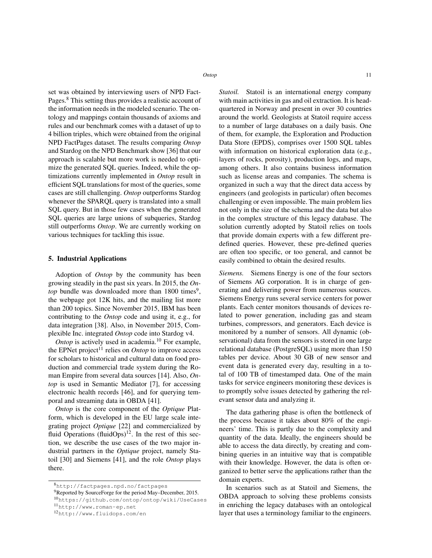set was obtained by interviewing users of NPD Fact-Pages.<sup>8</sup> This setting thus provides a realistic account of the information needs in the modeled scenario. The ontology and mappings contain thousands of axioms and rules and our benchmark comes with a dataset of up to 4 billion triples, which were obtained from the original NPD FactPages dataset. The results comparing *Ontop* and Stardog on the NPD Benchmark show [36] that our approach is scalable but more work is needed to optimize the generated SQL queries. Indeed, while the optimizations currently implemented in *Ontop* result in efficient SQL translations for most of the queries, some cases are still challenging. *Ontop* outperforms Stardog whenever the SPARQL query is translated into a small SQL query. But in those few cases when the generated SQL queries are large unions of subqueries, Stardog still outperforms *Ontop*. We are currently working on various techniques for tackling this issue.

## 5. Industrial Applications

Adoption of *Ontop* by the community has been growing steadily in the past six years. In 2015, the *On* $top$  bundle was downloaded more than  $1800$  times<sup>9</sup>, the webpage got 12K hits, and the mailing list more than 200 topics. Since November 2015, IBM has been contributing to the *Ontop* code and using it, e.g., for data integration [38]. Also, in November 2015, Complexible Inc. integrated *Ontop* code into Stardog v4.

*Ontop* is actively used in academia.<sup>10</sup> For example, the EPNet project<sup>11</sup> relies on *Ontop* to improve access for scholars to historical and cultural data on food production and commercial trade system during the Roman Empire from several data sources [14]. Also, *Ontop* is used in Semantic Mediator [7], for accessing electronic health records [46], and for querying temporal and streaming data in OBDA [41].

*Ontop* is the core component of the *Optique* Platform, which is developed in the EU large scale integrating project *Optique* [22] and commercialized by fluid Operations  $(fluidOps)^{12}$ . In the rest of this section, we describe the use cases of the two major industrial partners in the *Optique* project, namely Statoil [30] and Siemens [41], and the role *Ontop* plays there.

*Statoil.* Statoil is an international energy company with main activities in gas and oil extraction. It is headquartered in Norway and present in over 30 countries around the world. Geologists at Statoil require access to a number of large databases on a daily basis. One of them, for example, the Exploration and Production Data Store (EPDS), comprises over 1500 SQL tables with information on historical exploration data (e.g., layers of rocks, porosity), production logs, and maps, among others. It also contains business information such as license areas and companies. The schema is organized in such a way that the direct data access by engineers (and geologists in particular) often becomes challenging or even impossible. The main problem lies not only in the size of the schema and the data but also in the complex structure of this legacy database. The solution currently adopted by Statoil relies on tools that provide domain experts with a few different predefined queries. However, these pre-defined queries are often too specific, or too general, and cannot be easily combined to obtain the desired results.

*Siemens.* Siemens Energy is one of the four sectors of Siemens AG corporation. It is in charge of generating and delivering power from numerous sources. Siemens Energy runs several service centers for power plants. Each center monitors thousands of devices related to power generation, including gas and steam turbines, compressors, and generators. Each device is monitored by a number of sensors. All dynamic (observational) data from the sensors is stored in one large relational database (PostgreSQL) using more than 150 tables per device. About 30 GB of new sensor and event data is generated every day, resulting in a total of 100 TB of timestamped data. One of the main tasks for service engineers monitoring these devices is to promptly solve issues detected by gathering the relevant sensor data and analyzing it.

The data gathering phase is often the bottleneck of the process because it takes about 80% of the engineers' time. This is partly due to the complexity and quantity of the data. Ideally, the engineers should be able to access the data directly, by creating and combining queries in an intuitive way that is compatible with their knowledge. However, the data is often organized to better serve the applications rather than the domain experts.

In scenarios such as at Statoil and Siemens, the OBDA approach to solving these problems consists in enriching the legacy databases with an ontological layer that uses a terminology familiar to the engineers.

<sup>8</sup>http://factpages.npd.no/factpages

<sup>9</sup>Reported by SourceForge for the period May–December, 2015.

<sup>10</sup>https://github.com/ontop/ontop/wiki/UseCases <sup>11</sup>http://www.roman-ep.net

<sup>12</sup>http://www.fluidops.com/en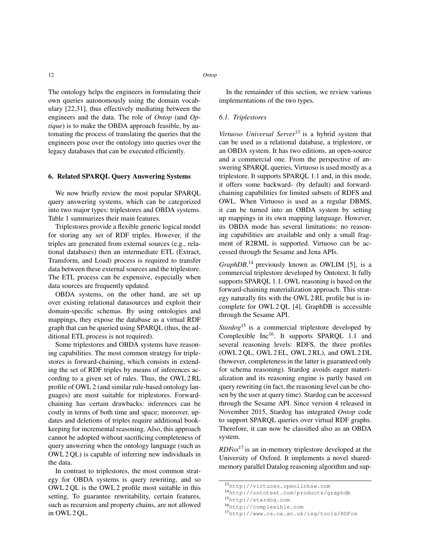The ontology helps the engineers in formulating their own queries autonomously using the domain vocabulary [22,31], thus effectively mediating between the engineers and the data. The role of *Ontop* (and *Optique*) is to make the OBDA approach feasible, by automating the process of translating the queries that the engineers pose over the ontology into queries over the legacy databases that can be executed efficiently.

## 6. Related SPARQL Query Answering Systems

We now briefly review the most popular SPARQL query answering systems, which can be categorized into two major types: triplestores and OBDA systems. Table 1 summarizes their main features.

Triplestores provide a flexible generic logical model for storing any set of RDF triples. However, if the triples are generated from external sources (e.g., relational databases) then an intermediate ETL (Extract, Transform, and Load) process is required to transfer data between these external sources and the triplestore. The ETL process can be expensive, especially when data sources are frequently updated.

OBDA systems, on the other hand, are set up over existing relational datasources and exploit their domain-specific schemas. By using ontologies and mappings, they expose the database as a virtual RDF graph that can be queried using SPARQL (thus, the additional ETL process is not required).

Some triplestores and OBDA systems have reasoning capabilities. The most common strategy for triplestores is forward-chaining, which consists in extending the set of RDF triples by means of inferences according to a given set of rules. Thus, the OWL 2 RL profile of OWL 2 (and similar rule-based ontology languages) are most suitable for triplestores. Forwardchaining has certain drawbacks: inferences can be costly in terms of both time and space; moreover, updates and deletions of triples require additional bookkeeping for incremental reasoning. Also, this approach cannot be adopted without sacrificing completeness of query answering when the ontology language (such as OWL 2 QL) is capable of inferring new individuals in the data.

In contrast to triplestores, the most common strategy for OBDA systems is query rewriting, and so OWL 2 QL is the OWL 2 profile most suitable in this setting. To guarantee rewritability, certain features, such as recursion and property chains, are not allowed in OWL 2 QL.

In the remainder of this section, we review various implementations of the two types.

# *6.1. Triplestores*

*Virtuoso Universal Server*<sup>13</sup> is a hybrid system that can be used as a relational database, a triplestore, or an OBDA system. It has two editions, an open-source and a commercial one. From the perspective of answering SPARQL queries, Virtuoso is used mostly as a triplestore. It supports SPARQL 1.1 and, in this mode, it offers some backward- (by default) and forwardchaining capabilities for limited subsets of RDFS and OWL. When Virtuoso is used as a regular DBMS, it can be turned into an OBDA system by setting up mappings in its own mapping language. However, its OBDA mode has several limitations: no reasoning capabilities are available and only a small fragment of R2RML is supported. Virtuoso can be accessed through the Sesame and Jena APIs.

*GraphDB*,<sup>14</sup> previously known as OWLIM [5], is a commercial triplestore developed by Ontotext. It fully supports SPARQL 1.1. OWL reasoning is based on the forward-chaining materialization approach. This strategy naturally fits with the OWL 2 RL profile but is incomplete for OWL 2 QL [4]. GraphDB is accessible through the Sesame API.

*Stardog*<sup>15</sup> is a commercial triplestore developed by Complexible Inc<sup>16</sup>. It supports SPARQL 1.1 and several reasoning levels: RDFS, the three profiles (OWL 2 QL, OWL 2 EL, OWL 2 RL), and OWL 2 DL (however, completeness in the latter is guaranteed only for schema reasoning). Stardog avoids eager materialization and its reasoning engine is partly based on query rewriting (in fact, the reasoning level can be chosen by the user at query time). Stardog can be accessed through the Sesame API. Since version 4 released in November 2015, Stardog has integrated *Ontop* code to support SPARQL queries over virtual RDF graphs. Therefore, it can now be classified also as an OBDA system.

*RDFox*<sup>17</sup> is an in-memory triplestore developed at the University of Oxford. It implements a novel sharedmemory parallel Datalog reasoning algorithm and sup-

<sup>13</sup>http://virtuoso.openlinksw.com

<sup>14</sup>http://ontotext.com/products/graphdb

<sup>15</sup>http://stardog.com

<sup>16</sup>http://complexible.com

<sup>17</sup>http://www.cs.ox.ac.uk/isg/tools/RDFox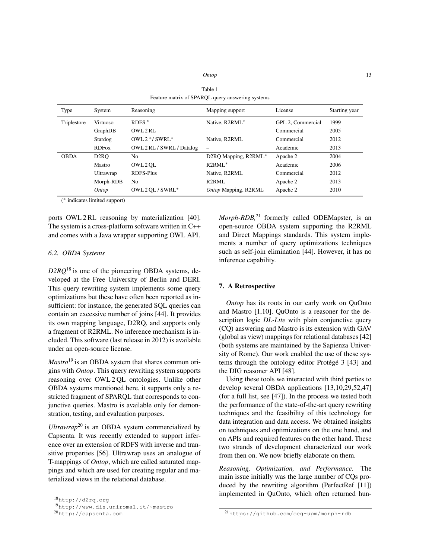| Ontop | 13 |
|-------|----|
|-------|----|

|             |                   |                           | I catter matrix of ST/MQD query answering systems |                   |               |
|-------------|-------------------|---------------------------|---------------------------------------------------|-------------------|---------------|
| Type        | System            | Reasoning                 | Mapping support                                   | License           | Starting year |
| Triplestore | <b>Virtuoso</b>   | $R$ DFS $*$               | Native, R2RML*                                    | GPL 2. Commercial | 1999          |
|             | GraphDB           | OWL 2 RL                  |                                                   | Commercial        | 2005          |
|             | Stardog           | OWL $2$ */ SWRL *         | Native, R2RML                                     | Commercial        | 2012          |
|             | <b>RDFox</b>      | OWL 2 RL / SWRL / Datalog | $\overline{\phantom{0}}$                          | Academic          | 2013          |
| <b>OBDA</b> | D <sub>2</sub> RO | N <sub>o</sub>            | D2RQ Mapping, R2RML*                              | Apache 2          | 2004          |
|             | Mastro            | OWL 2 OL                  | $R2RML^*$                                         | Academic          | 2006          |
|             | Ultrawrap         | <b>RDFS-Plus</b>          | Native, R2RML                                     | Commercial        | 2012          |
|             | Morph-RDB         | N <sub>0</sub>            | R <sub>2</sub> RML                                | Apache 2          | 2013          |
|             | Ontop             | OWL 2 OL / SWRL*          | Ontop Mapping, R2RML                              | Apache 2          | 2010          |

| Table 1                                          |
|--------------------------------------------------|
| Feature matrix of SPARQL query answering systems |

( <sup>∗</sup> indicates limited support)

ports OWL 2 RL reasoning by materialization [40]. The system is a cross-platform software written in C++ and comes with a Java wrapper supporting OWL API.

# *6.2. OBDA Systems*

*D2RQ*<sup>18</sup> is one of the pioneering OBDA systems, developed at the Free University of Berlin and DERI. This query rewriting system implements some query optimizations but these have often been reported as insufficient: for instance, the generated SQL queries can contain an excessive number of joins [44]. It provides its own mapping language, D2RQ, and supports only a fragment of R2RML. No inference mechanism is included. This software (last release in 2012) is available under an open-source license.

*Mastro*<sup>19</sup> is an OBDA system that shares common origins with *Ontop*. This query rewriting system supports reasoning over OWL 2 QL ontologies. Unlike other OBDA systems mentioned here, it supports only a restricted fragment of SPARQL that corresponds to conjunctive queries. Mastro is available only for demonstration, testing, and evaluation purposes.

*Ultrawrap*<sup>20</sup> is an OBDA system commercialized by Capsenta. It was recently extended to support inference over an extension of RDFS with inverse and transitive properties [56]. Ultrawrap uses an analogue of T-mappings of *Ontop*, which are called saturated mappings and which are used for creating regular and materialized views in the relational database.

*Morph-RDB,*<sup>21</sup> formerly called ODEMapster, is an open-source OBDA system supporting the R2RML and Direct Mappings standards. This system implements a number of query optimizations techniques such as self-join elimination [44]. However, it has no inference capability.

# 7. A Retrospective

*Ontop* has its roots in our early work on QuOnto and Mastro [1,10]. QuOnto is a reasoner for the description logic *DL-Lite* with plain conjunctive query (CQ) answering and Mastro is its extension with GAV (global as view) mappings for relational databases [42] (both systems are maintained by the Sapienza University of Rome). Our work enabled the use of these systems through the ontology editor Protégé 3 [43] and the DIG reasoner API [48].

Using these tools we interacted with third parties to develop several OBDA applications [13,10,29,52,47] (for a full list, see [47]). In the process we tested both the performance of the state-of-the-art query rewriting techniques and the feasibility of this technology for data integration and data access. We obtained insights on techniques and optimizations on the one hand, and on APIs and required features on the other hand. These two strands of development characterized our work from then on. We now briefly elaborate on them.

*Reasoning, Optimization, and Performance.* The main issue initially was the large number of CQs produced by the rewriting algorithm (PerfectRef [11]) implemented in QuOnto, which often returned hun-

<sup>18</sup>http://d2rq.org

<sup>19</sup>http://www.dis.uniroma1.it/~mastro

<sup>20</sup>http://capsenta.com

<sup>21</sup>https://github.com/oeg-upm/morph-rdb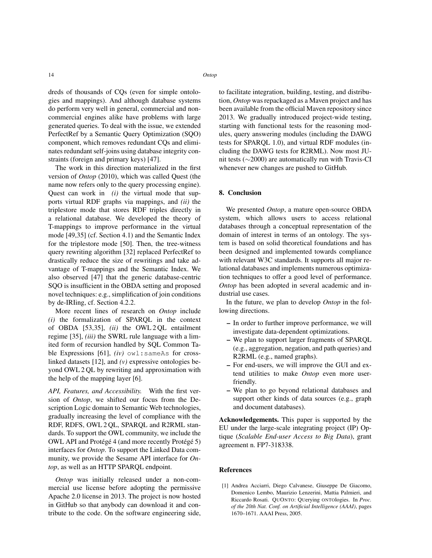dreds of thousands of CQs (even for simple ontologies and mappings). And although database systems do perform very well in general, commercial and noncommercial engines alike have problems with large generated queries. To deal with the issue, we extended PerfectRef by a Semantic Query Optimization (SQO) component, which removes redundant CQs and eliminates redundant self-joins using database integrity constraints (foreign and primary keys) [47].

The work in this direction materialized in the first version of *Ontop* (2010), which was called Quest (the name now refers only to the query processing engine). Quest can work in *(i)* the virtual mode that supports virtual RDF graphs via mappings, and *(ii)* the triplestore mode that stores RDF triples directly in a relational database. We developed the theory of T-mappings to improve performance in the virtual mode [49,35] (cf. Section 4.1) and the Semantic Index for the triplestore mode [50]. Then, the tree-witness query rewriting algorithm [32] replaced PerfectRef to drastically reduce the size of rewritings and take advantage of T-mappings and the Semantic Index. We also observed [47] that the generic database-centric SQO is insufficient in the OBDA setting and proposed novel techniques: e.g., simplification of join conditions by de-IRIing, cf. Section 4.2.2.

More recent lines of research on *Ontop* include *(i)* the formalization of SPARQL in the context of OBDA [53,35], *(ii)* the OWL 2 QL entailment regime [35], *(iii)* the SWRL rule language with a limited form of recursion handled by SQL Common Table Expressions [61], *(iv)* owl: sameAs for crosslinked datasets [12], and *(v)* expressive ontologies beyond OWL 2 QL by rewriting and approximation with the help of the mapping layer [6].

*API, Features, and Accessibility.* With the first version of *Ontop*, we shifted our focus from the Description Logic domain to Semantic Web technologies, gradually increasing the level of compliance with the RDF, RDFS, OWL 2 QL, SPARQL and R2RML standards. To support the OWL community, we include the OWL API and Protégé 4 (and more recently Protégé 5) interfaces for *Ontop*. To support the Linked Data community, we provide the Sesame API interface for *Ontop*, as well as an HTTP SPARQL endpoint.

*Ontop* was initially released under a non-commercial use license before adopting the permissive Apache 2.0 license in 2013. The project is now hosted in GitHub so that anybody can download it and contribute to the code. On the software engineering side, to facilitate integration, building, testing, and distribution, *Ontop* was repackaged as a Maven project and has been available from the official Maven repository since 2013. We gradually introduced project-wide testing, starting with functional tests for the reasoning modules, query answering modules (including the DAWG tests for SPARQL 1.0), and virtual RDF modules (including the DAWG tests for R2RML). Now most JUnit tests (∼2000) are automatically run with Travis-CI whenever new changes are pushed to GitHub.

# 8. Conclusion

We presented *Ontop*, a mature open-source OBDA system, which allows users to access relational databases through a conceptual representation of the domain of interest in terms of an ontology. The system is based on solid theoretical foundations and has been designed and implemented towards compliance with relevant W3C standards. It supports all major relational databases and implements numerous optimization techniques to offer a good level of performance. *Ontop* has been adopted in several academic and industrial use cases.

In the future, we plan to develop *Ontop* in the following directions.

- In order to further improve performance, we will investigate data-dependent optimizations.
- We plan to support larger fragments of SPARQL (e.g., aggregation, negation, and path queries) and R2RML (e.g., named graphs).
- For end-users, we will improve the GUI and extend utilities to make *Ontop* even more userfriendly.
- We plan to go beyond relational databases and support other kinds of data sources (e.g., graph and document databases).

Acknowledgements. This paper is supported by the EU under the large-scale integrating project (IP) Optique (*Scalable End-user Access to Big Data*), grant agreement n. FP7-318338.

## References

[1] Andrea Acciarri, Diego Calvanese, Giuseppe De Giacomo, Domenico Lembo, Maurizio Lenzerini, Mattia Palmieri, and Riccardo Rosati. QUONTO: QUerying ONTOlogies. In *Proc. of the 20th Nat. Conf. on Artificial Intelligence (AAAI)*, pages 1670–1671. AAAI Press, 2005.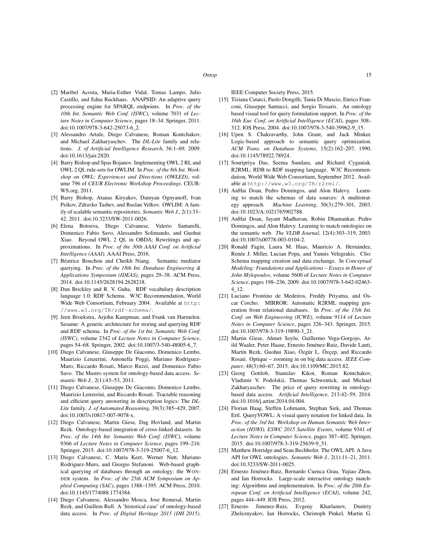- [2] Maribel Acosta, Maria-Esther Vidal, Tomas Lampo, Julio Castillo, and Edna Ruckhaus. ANAPSID: An adaptive query processing engine for SPARQL endpoints. In *Proc. of the 10th Int. Semantic Web Conf. (ISWC)*, volume 7031 of *Lecture Notes in Computer Science*, pages 18–34. Springer, 2011. doi:10.1007/978-3-642-25073-6\_2.
- [3] Alessandro Artale, Diego Calvanese, Roman Kontchakov, and Michael Zakharyaschev. The *DL-Lite* family and relations. *J. of Artificial Intelligence Research*, 36:1–69, 2009. doi:10.1613/jair.2820.
- [4] Barry Bishop and Spas Bojanov. Implementing OWL 2 RL and OWL 2 QL rule-sets for OWLIM. In *Proc. of the 8th Int. Workshop on OWL: Experiences and Directions (OWLED)*, volume 796 of *CEUR Electronic Workshop Proceedings*. CEUR-WS.org, 2011.
- [5] Barry Bishop, Atanas Kiryakov, Damyan Ognyanoff, Ivan Peikov, Zdravko Tashev, and Ruslan Velkov. OWLIM: A family of scalable semantic repositories. *Semantic Web J.*, 2(1):33– 42, 2011. doi:10.3233/SW-2011-0026.
- [6] Elena Botoeva, Diego Calvanese, Valerio Santarelli, Domenico Fabio Savo, Alessandro Solimando, and Guohui Xiao. Beyond OWL 2 QL in OBDA: Rewritings and approximations. In *Proc. of the 30th AAAI Conf. on Artificial Intelligence (AAAI)*. AAAI Press, 2016.
- [7] Béatrice Bouchou and Cheikh Niang. Semantic mediator querying. In *Proc. of the 18th Int. Database Engineering & Applications Symposium (IDEAS)*, pages 29–38. ACM Press, 2014. doi:10.1145/2628194.2628218.
- [8] Dan Brickley and R. V. Guha. RDF vocabulary description language 1.0: RDF Schema. W3C Recommendation, World Wide Web Consortium, February 2004. Available at http: //www.w3.org/TR/rdf-schema/.
- [9] Jeen Broekstra, Arjohn Kampman, and Frank van Harmelen. Sesame: A generic architecture for storing and querying RDF and RDF schema. In *Proc. of the 1st Int. Semantic Web Conf. (ISWC)*, volume 2342 of *Lecture Notes in Computer Science*, pages 54–68. Springer, 2002. doi:10.1007/3-540-48005-6\_7.
- [10] Diego Calvanese, Giuseppe De Giacomo, Domenico Lembo, Maurizio Lenzerini, Antonella Poggi, Mariano Rodriguez-Muro, Riccardo Rosati, Marco Ruzzi, and Domenico Fabio Savo. The Mastro system for ontology-based data access. *Semantic Web J.*, 2(1):43–53, 2011.
- [11] Diego Calvanese, Giuseppe De Giacomo, Domenico Lembo, Maurizio Lenzerini, and Riccardo Rosati. Tractable reasoning and efficient query answering in description logics: The *DL-Lite* family. *J. of Automated Reasoning*, 39(3):385–429, 2007. doi:10.1007/s10817-007-9078-x.
- [12] Diego Calvanese, Martin Giese, Dag Hovland, and Martin Rezk. Ontology-based integration of cross-linked datasets. In *Proc. of the 14th Int. Semantic Web Conf. (ISWC)*, volume 9366 of *Lecture Notes in Computer Science*, pages 199–216. Springer, 2015. doi:10.1007/978-3-319-25007-6\_12.
- [13] Diego Calvanese, C. Maria Keet, Werner Nutt, Mariano Rodriguez-Muro, and Giorgio Stefanoni. Web-based graphical querying of databases through an ontology: the WON-DER system. In *Proc. of the 25th ACM Symposium on Applied Computing (SAC)*, pages 1388–1395. ACM Press, 2010. doi:10.1145/1774088.1774384.
- [14] Diego Calvanese, Alessandro Mosca, Jose Remesal, Martin Rezk, and Guillem Rull. A 'historical case' of ontology-based data access. In *Proc. of Digital Heritage 2015 (DH 2015)*.

IEEE Computer Society Press, 2015.

- [15] Tiziana Catarci, Paolo Dongilli, Tania Di Mascio, Enrico Franconi, Giuseppe Santucci, and Sergio Tessaris. An ontology based visual tool for query formulation support. In *Proc. of the 16th Eur. Conf. on Artificial Intelligence (ECAI)*, pages 308– 312. IOS Press, 2004. doi:10.1007/978-3-540-39962-9\_15.
- [16] Upen S. Chakravarthy, John Grant, and Jack Minker. Logic-based approach to semantic query optimization. *ACM Trans. on Database Systems*, 15(2):162–207, 1990. doi:10.1145/78922.78924.
- [17] Souripriya Das, Seema Sundara, and Richard Cyganiak. R2RML: RDB to RDF mapping language. W3C Recommendation, World Wide Web Consortium, September 2012. Available at http://www.w3.org/TR/r2rml/.
- [18] AnHai Doan, Pedro Domingos, and Alon Halevy. Learning to match the schemas of data sources: A multistrategy approach. *Machine Learning*, 50(3):279–301, 2003. doi:10.1023/A:1021765902788.
- [19] AnHai Doan, Jayant Madhavan, Robin Dhamankar, Pedro Domingos, and Alon Halevy. Learning to match ontologies on the semantic web. *The VLDB Journal*, 12(4):303–319, 2003. doi:10.1007/s00778-003-0104-2.
- [20] Ronald Fagin, Laura M. Haas, Mauricio A. Hernández, Renée J. Miller, Lucian Popa, and Yannis Velegrakis. Clio: Schema mapping creation and data exchange. In *Conceptual Modeling: Foundations and Applications – Essays in Honor of John Mylopoulos*, volume 5600 of *Lecture Notes in Computer Science*, pages 198–236, 2009. doi:10.1007/978-3-642-02463- 4\_12.
- [21] Luciano Frontino de Medeiros, Freddy Priyatna, and Oscar Corcho. MIRROR: Automatic R2RML mapping generation from relational databases. In *Proc. of the 15th Int. Conf. on Web Engineering (ICWE)*, volume 9114 of *Lecture Notes in Computer Science*, pages 326–343. Springer, 2015. doi:10.1007/978-3-319-19890-3\_21.
- [22] Martin Giese, Ahmet Soylu, Guillermo Vega-Gorgojo, Arild Waaler, Peter Haase, Ernesto Jiménez-Ruiz, Davide Lanti, Martín Rezk, Guohui Xiao, Özgür L. Özçep, and Riccardo Rosati. Optique – zooming in on big data access. *IEEE Computer*, 48(3):60–67, 2015. doi:10.1109/MC.2015.82.
- [23] Georg Gottlob, Stanislav Kikot, Roman Kontchakov, Vladimir V. Podolskii, Thomas Schwentick, and Michael Zakharyaschev. The price of query rewriting in ontologybased data access. *Artificial Intelligence*, 213:42–59, 2014. doi:10.1016/j.artint.2014.04.004.
- [24] Florian Haag, Steffen Lohmann, Stephan Siek, and Thomas Ertl. QueryVOWL: A visual query notation for linked data. In *Proc. of the 3rd Int. Workshop on Human Semantic Web Interaction (HSWI). ESWC 2015 Satellite Events*, volume 9341 of *Lecture Notes in Computer Science*, pages 387–402. Springer, 2015. doi:10.1007/978-3-319-25639-9\_51.
- [25] Matthew Horridge and Sean Bechhofer. The OWL API: A Java API for OWL ontologies. *Semantic Web J.*, 2(1):11–21, 2011. doi:10.3233/SW-2011-0025.
- [26] Ernesto Jiménez-Ruiz, Bernardo Cuenca Grau, Yujiao Zhou, and Ian Horrocks. Large-scale interactive ontology matching: Algorithms and implementation. In *Proc. of the 20th European Conf. on Artificial Intelligence (ECAI)*, volume 242, pages 444–449. IOS Press, 2012.
- [27] Ernesto Jimenez-Ruiz, Evgeny Kharlamov, Dmitriy Zheleznyakov, Ian Horrocks, Christoph Pinkel, Martin G.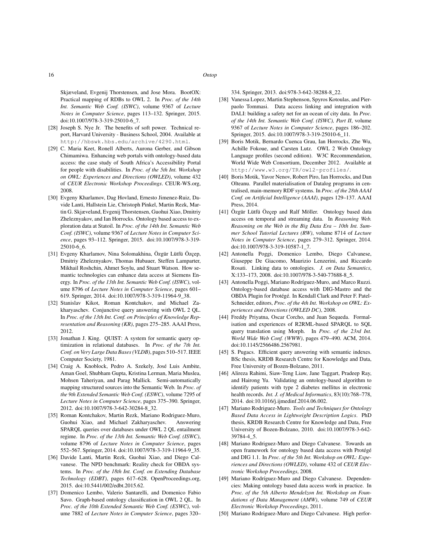Skjæveland, Evgenij Thorstensen, and Jose Mora. BootOX: Practical mapping of RDBs to OWL 2. In *Proc. of the 14th Int. Semantic Web Conf. (ISWC)*, volume 9367 of *Lecture Notes in Computer Science*, pages 113–132. Springer, 2015. doi:10.1007/978-3-319-25010-6\_7.

- [28] Joseph S. Nye Jr. The benefits of soft power. Technical report, Harvard University - Business School, 2004. Available at http://hbswk.hbs.edu/archive/4290.html.
- [29] C. Maria Keet, Ronell Alberts, Aurona Gerber, and Gibson Chimamiwa. Enhancing web portals with ontology-based data access: the case study of South Africa's Accessibility Portal for people with disabilities. In *Proc. of the 5th Int. Workshop on OWL: Experiences and Directions (OWLED)*, volume 432 of *CEUR Electronic Workshop Proceedings*. CEUR-WS.org, 2008.
- [30] Evgeny Kharlamov, Dag Hovland, Ernesto Jimenez-Ruiz, Davide Lanti, Hallstein Lie, Christoph Pinkel, Martin Rezk, Martin G. Skjæveland, Evgenij Thorstensen, Guohui Xiao, Dmitriy Zheleznyakov, and Ian Horrocks. Ontology based access to exploration data at Statoil. In *Proc. of the 14th Int. Semantic Web Conf. (ISWC)*, volume 9367 of *Lecture Notes in Computer Science*, pages 93–112. Springer, 2015. doi:10.1007/978-3-319- 25010-6\_6.
- [31] Evgeny Kharlamov, Nina Solomakhina, Özgür Lütfü Özçep, Dmitriy Zheleznyakov, Thomas Hubauer, Steffen Lamparter, Mikhail Roshchin, Ahmet Soylu, and Stuart Watson. How semantic technologies can enhance data access at Siemens Energy. In *Proc. of the 13th Int. Semantic Web Conf. (ISWC)*, volume 8796 of *Lecture Notes in Computer Science*, pages 601– 619. Springer, 2014. doi:10.1007/978-3-319-11964-9\_38.
- [32] Stanislav Kikot, Roman Kontchakov, and Michael Zakharyaschev. Conjunctive query answering with OWL 2 QL. In *Proc. of the 13th Int. Conf. on Principles of Knowledge Representation and Reasoning (KR)*, pages 275–285. AAAI Press, 2012.
- [33] Jonathan J. King. QUIST: A system for semantic query optimization in relational databases. In *Proc. of the 7th Int. Conf. on Very Large Data Bases (VLDB)*, pages 510–517. IEEE Computer Society, 1981.
- [34] Craig A. Knoblock, Pedro A. Szekely, José Luis Ambite, Aman Goel, Shubham Gupta, Kristina Lerman, Maria Muslea, Mohsen Taheriyan, and Parag Mallick. Semi-automatically mapping structured sources into the Semantic Web. In *Proc. of the 9th Extended Semantic Web Conf. (ESWC)*, volume 7295 of *Lecture Notes in Computer Science*, pages 375–390. Springer, 2012. doi:10.1007/978-3-642-30284-8\_32.
- [35] Roman Kontchakov, Martin Rezk, Mariano Rodriguez-Muro, Guohui Xiao, and Michael Zakharyaschev. Answering SPARQL queries over databases under OWL 2 QL entailment regime. In *Proc. of the 13th Int. Semantic Web Conf. (ISWC)*, volume 8796 of *Lecture Notes in Computer Science*, pages 552–567. Springer, 2014. doi:10.1007/978-3-319-11964-9\_35.
- [36] Davide Lanti, Martin Rezk, Guohui Xiao, and Diego Calvanese. The NPD benchmark: Reality check for OBDA systems. In *Proc. of the 18th Int. Conf. on Extending Database Technology (EDBT)*, pages 617–628. OpenProceedings.org, 2015. doi:10.5441/002/edbt.2015.62.
- [37] Domenico Lembo, Valerio Santarelli, and Domenico Fabio Savo. Graph-based ontology classification in OWL 2 QL. In *Proc. of the 10th Extended Semantic Web Conf. (ESWC)*, volume 7882 of *Lecture Notes in Computer Science*, pages 320–

334. Springer, 2013. doi:978-3-642-38288-8\_22.

- [38] Vanessa Lopez, Martin Stephenson, Spyros Kotoulas, and Pierpaolo Tommasi. Data access linking and integration with DALI: building a safety net for an ocean of city data. In *Proc. of the 14th Int. Semantic Web Conf. (ISWC), Part II*, volume 9367 of *Lecture Notes in Computer Science*, pages 186–202. Springer, 2015. doi:10.1007/978-3-319-25010-6\_11.
- [39] Boris Motik, Bernardo Cuenca Grau, Ian Horrocks, Zhe Wu, Achille Fokoue, and Carsten Lutz. OWL 2 Web Ontology Language profiles (second edition). W3C Recommendation, World Wide Web Consortium, December 2012. Available at http://www.w3.org/TR/owl2-profiles/.
- [40] Boris Motik, Yavor Nenov, Robert Piro, Ian Horrocks, and Dan Olteanu. Parallel materialisation of Datalog programs in centralised, main-memory RDF systems. In *Proc. of the 28th AAAI Conf. on Artificial Intelligence (AAAI)*, pages 129–137. AAAI Press, 2014.
- [41] Özgür Lütfü Özçep and Ralf Möller. Ontology based data access on temporal and streaming data. In *Reasoning Web. Reasoning on the Web in the Big Data Era – 10th Int. Summer School Tutorial Lectures (RW)*, volume 8714 of *Lecture Notes in Computer Science*, pages 279–312. Springer, 2014. doi:10.1007/978-3-319-10587-1\_7.
- [42] Antonella Poggi, Domenico Lembo, Diego Calvanese, Giuseppe De Giacomo, Maurizio Lenzerini, and Riccardo Rosati. Linking data to ontologies. *J. on Data Semantics*, X:133–173, 2008. doi:10.1007/978-3-540-77688-8\_5.
- [43] Antonella Poggi, Mariano Rodríguez-Muro, and Marco Ruzzi. Ontology-based database access with DIG-Mastro and the OBDA Plugin for Protégé. In Kendall Clark and Peter F. Patel-Schneider, editors, *Proc. of the 4th Int. Workshop on OWL: Experiences and Directions (OWLED DC)*, 2008.
- [44] Freddy Priyatna, Oscar Corcho, and Juan Sequeda. Formalisation and experiences of R2RML-based SPARQL to SQL query translation using Morph. In *Proc. of the 23rd Int. World Wide Web Conf. (WWW)*, pages 479–490. ACM, 2014. doi:10.1145/2566486.2567981.
- [45] S. Pugacs. Efficient query answering with semantic indexes. BSc thesis, KRDB Research Centre for Knowledge and Data, Free University of Bozen-Bolzano, 2011.
- [46] Alireza Rahimi, Siaw-Teng Liaw, Jane Taggart, Pradeep Ray, and Hairong Yu. Validating an ontology-based algorithm to identify patients with type 2 diabetes mellitus in electronic health records. *Int. J. of Medical Informatics*, 83(10):768–778, 2014. doi:10.1016/j.ijmedinf.2014.06.002.
- [47] Mariano Rodriguez-Muro. *Tools and Techniques for Ontology Based Data Access in Lightweight Description Logics*. PhD thesis, KRDB Research Centre for Knowledge and Data, Free University of Bozen-Bolzano, 2010. doi:10.1007/978-3-642- 39784-4\_5.
- [48] Mariano Rodriguez-Muro and Diego Calvanese. Towards an open framework for ontology based data access with Protégé and DIG 1.1. In *Proc. of the 5th Int. Workshop on OWL: Experiences and Directions (OWLED)*, volume 432 of *CEUR Electronic Workshop Proceedings*, 2008.
- [49] Mariano Rodríguez-Muro and Diego Calvanese. Dependencies: Making ontology based data access work in practice. In *Proc. of the 5th Alberto Mendelzon Int. Workshop on Foundations of Data Management (AMW)*, volume 749 of *CEUR Electronic Workshop Proceedings*, 2011.
- [50] Mariano Rodriguez-Muro and Diego Calvanese. High perfor-